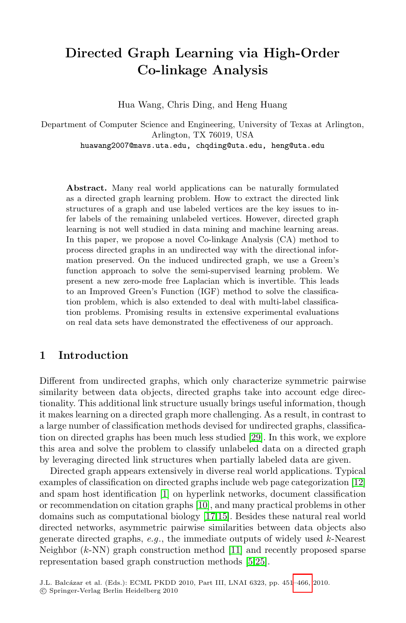# **Directed Graph Learning via High-Order Co-linkage Analysis**

Hua Wang, Chris Ding, and Heng Huang

Department of Computer Science and Engineering, University of Texas at Arlington, Arlington, TX 76019, USA huawang2007@mavs.uta.edu, chqding@uta.edu, heng@uta.edu

**Abstract.** Many real world applications can be naturally formulated as a directed graph learning problem. How to extract the directed link structures of a graph and use labeled vertices are the key issues to infer labels of the remaining unlabeled vertices. However, directed graph learning is not well studied in data mining and machine learning areas. In this paper, we propose a novel Co-linkage Analysis (CA) method to process directed graphs in an undirected way with the directional information preserved. On the induced undirected graph, we use a Green's function approach to solve the semi-supervised learning problem. We present a new zero-mode free Laplacian which is invertible. This leads to an Improved Green's Function (IGF) method to solve the classification problem, which is also extended to deal with multi-label classification problems. Promising results in extensive experimental evaluations on real data sets have demonstrated the effectiveness of our approach.

# **1 Introduction**

Different from undirected graphs, which only characterize symmetric pairwise similarity between data objects, directed graphs take in[to](#page-15-0) account edge directionality. [Thi](#page-14-0)s additional link structure usually brings useful information, though it makes learning o[n a d](#page-14-1)irected graph more challenging. As a result, in contrast to a large number of cla[ssifi](#page-15-1)[cat](#page-15-2)ion methods devised for undirected graphs, classification on directed graphs has been much less studied [29]. In this work, we explore this area and solve the problem to classify unlabeled data on a directed graph by leveraging directed link [stru](#page-15-3)ctures when partially labeled data are given.

Directed graph appears exte[nsi](#page-14-2)[vel](#page-15-4)y in diverse real world applications. Typical examples of classification on directed graphs include web page categorization [12] and spam host identification [1] on hyperli[nk ne](#page-15-5)tworks, document classification or recommendation on citation graphs [10], and many practical problems in other domains such as computational biology [17,15]. Besides these natural real world directed networks, asymmetric pairwise similarities between data objects also generate directed graphs, *e.g*., the immediate outputs of widely used k-Nearest Neighbor  $(k-NN)$  graph construction method [11] and recently proposed sparse representation based graph construction methods [5,25].

J.L. Balcázar et al. (Eds.): ECML PKDD 2010, Part III, LNAI 6323, pp. 451-466, 2010. -c Springer-Verlag Berlin Heidelberg 2010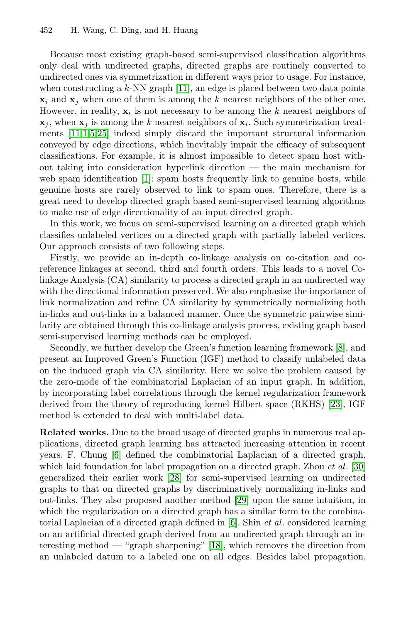Because most existing graph-based semi-supervised classification algorithms only deal with undirected graphs, directed graphs are routinely converted to undirected ones via symmetrization in different ways prior to usage. For instance, when [co](#page-14-0)nstructing a  $k$ -NN graph [11], an edge is placed between two data points  $\mathbf{x}_i$  and  $\mathbf{x}_j$  when one of them is among the k nearest neighbors of the other one. However, in reality,  $x_i$  is not necessary to be among the  $k$  nearest neighbors of  $\mathbf{x}_i$ , when  $\mathbf{x}_i$  is among the k nearest neighbors of  $\mathbf{x}_i$ . Such symmetrization treatments [11,1,5,25] indeed simply discard the important structural information conveyed by edge directions, which inevitably impair the efficacy of subsequent classifications. For example, it is almost impossible to detect spam host without taking into consideration hyperlink direction — the main mechanism for web spam identification [1]: spam hosts frequently link to genuine hosts, while genuine hosts are rarely observed to link to spam ones. Therefore, there is a great need to develop directed graph based semi-supervised learning algorithms to make use of edge directionality of an input directed graph.

In this work, we focus on semi-supervised learning on a directed graph which classifies unlabeled vertices on a directed graph with partially labeled vertices. Our approach consists of two following steps.

Firstly, we provide an in-depth co-linkage analy[sis](#page-14-3) on co-citation and coreference linkages at second, third and fourth orders. This leads to a novel Colinkage Analysis (CA) similarity to process a directed graph in an undirected way with the directional information preserved. We also emphasize the importance of link normalization and refine CA similarity by symmetrically normalizing both in-links and out-links in a balanced manner. Once t[he s](#page-15-6)ymmetric pairwise similarity are obtained through this co-linkage analysis process, existing graph based semi-supervised learning methods can be employed.

Secondly, we further develop the Green's function learning framework [8], and present an Improved Green's Function (IGF) method to classify unlabeled data [o](#page-14-4)n the induced graph via CA similarity. Here we solve the problem caused by the zero-mode of the combinatorial Laplacian of an inp[ut](#page-15-7) graph. In addition, by incorpor[atin](#page-15-8)g label correlations through the kernel regularization framework derived from the theory of reproducing kernel Hilbert space (RKHS) [23], IGF method is extended to deal [with](#page-15-9) multi-label data.

**Related works.** Due to th[e b](#page-14-4)road usage of directed graphs in numerous real applications, directed graph learning has attracted increasing attention in recent years. F. Chung [6] d[efin](#page-15-10)ed the combinatorial Laplacian of a directed graph, which laid foundation for label propagation on a directed graph. Zhou *et al*. [30] generalized their earlier work [28] for semi-supervised learning on undirected graphs to that on directed graphs by discriminatively normalizing in-links and out-links. They also proposed another method [29] upon the same intuition, in which the regularization on a directed graph has a similar form to the combinatorial Laplacian of a directed graph defined in [6]. Shin *et al*. considered learning on an artificial directed graph derived from an undirected graph through an interesting method — "graph sharpening" [18], which removes the direction from an unlabeled datum to a labeled one on all edges. Besides label propagation,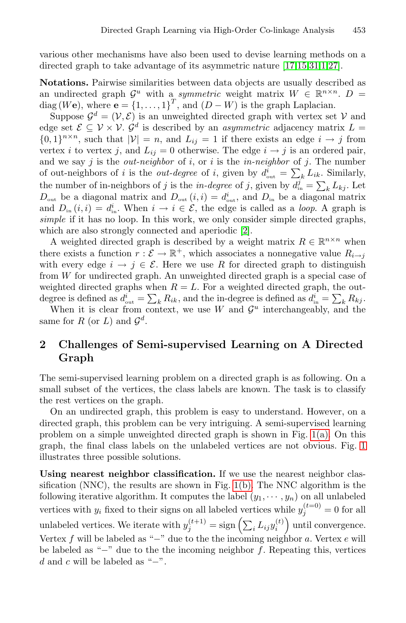various other mechanisms have also been used to devise learning methods on a directed graph to take advantage of its asymmetric nature  $[17,15,31,1,27]$ .

**Notations.** Pairwise similarities between data objects are usually described as an undirected graph  $\mathcal{G}^u$  with a *symmetric* weight matrix  $W \in \mathbb{R}^{n \times n}$ .  $D =$ diag (We), where  $\mathbf{e} = \{1, \ldots, 1\}^T$ , and  $(D - W)$  is the graph Laplacian.

Suppose  $\mathcal{G}^d = (\mathcal{V}, \mathcal{E})$  is an unweighted directed graph with vertex set V and edge set  $\mathcal{E} \subseteq \mathcal{V} \times \mathcal{V}$ .  $\mathcal{G}^d$  is described by an *asymmetric* adjacency matrix  $L =$  $\{0,1\}^{n \times n}$ , such that  $|\mathcal{V}| = n$ , [a](#page-14-5)nd  $L_{ij} = 1$  if there exists an edge  $i \to j$  from vertex i to vertex j, and  $L_{ij} = 0$  otherwise. The edge  $i \rightarrow j$  is an ordered pair, and we say j is the *out-neighbor* of i, or i is the *in-neighbor* of j. The number of out-neighbors of i is the *out-degree* of i, given by  $d_{\text{out}}^i = \sum_k L_{ik}$ . Similarly, the number of in-neighbors of j is the *in-degree* of j, given by  $d_{\text{in}}^j = \sum_k L_{kj}$ . Let  $D_{\text{out}}$  be a diagonal matrix and  $D_{\text{out}}(i, i) = d_{\text{out}}^i$ , and  $D_{\text{in}}$  be a diagonal matrix and  $D_{\text{in}}(i, i) = d_{\text{in}}^i$ . When  $i \to i \in \mathcal{E}$ , the edge is called as a *loop*. A graph is *simple* if it has no loop. In this work, we only consider simple directed graphs, which are also strongly connected and aperiodic [2].

A weighted directed graph is described by a weight matrix  $R \in \mathbb{R}^{n \times n}$  when there exists a function  $r : \mathcal{E} \to \mathbb{R}^+$ , which associates a nonnegative value  $R_{i\to j}$ with every edge  $i \to j \in \mathcal{E}$ . Here we use R for directed graph to distinguish from W for undirected graph. An unweighted directed graph is a special case of weighted directed graphs when  $R = L$ . For a weighted directed graph, the outdegree is defined as  $d_{\text{out}}^i = \sum_k R_{ik}$ , and the in-degree is defined as  $d_{\text{in}}^i = \sum_k R_{kj}$ .

When it is clear from context, we use  $W$  and  $\mathcal{G}^u$  interchangeably, and the same for R (or L) and  $\mathcal{G}^d$ .

# **2 Challenges of Semi-supervised [Lear](#page-3-0)ning on A Directed Graph**

The semi-supervised learning problem on a directed graph is as following. On a small subset of the vertices, the class labels are known. The task is to classify the rest vertices on the gra[ph.](#page-3-1)

On an undirected graph, this problem is easy to understand. However, on a directed graph, this problem can be very intriguing. A semi-supervised learning problem on a simple unweighted directed graph is shown in Fig. 1(a). On this graph, the final class labels on the unlabeled vertices are not obvious. Fig. 1 illustrates three possible solutions.

**Using nearest neighbor classification.** If we use the nearest neighbor classification (NNC), the results are shown in Fig. 1(b). The NNC algorithm is the following iterative algorithm. It computes the label  $(y_1, \dots, y_n)$  on all unlabeled vertices with  $y_i$  fixed to their signs on all labeled vertices while  $y_j^{(t=0)} = 0$  for all unlabeled vertices. We iterate with  $y_j^{(t+1)} = \text{sign}\left(\sum_i L_{ij} y_i^{(t)}\right)$  until convergence. Vertex f will be labeled as "−" due to the the incoming neighbor a. Vertex  $e$  will be labeled as "−" due to the the incoming neighbor f. Repeating this, vertices d and c will be labeled as "−".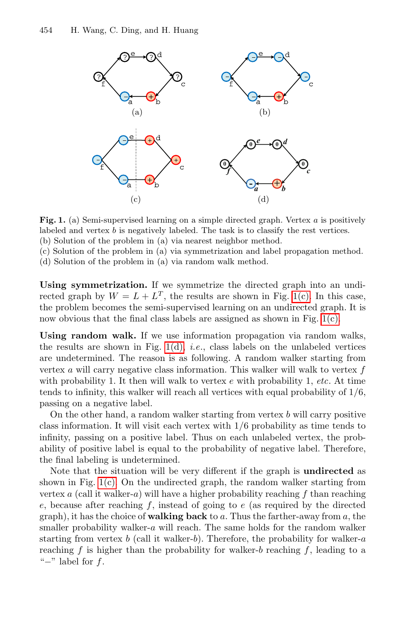<span id="page-3-2"></span><span id="page-3-0"></span>454 H. Wang, C. Ding, and H. Huang

<span id="page-3-3"></span><span id="page-3-1"></span>

**Fig. 1.** (a) Semi-supervised learning on a simple directed graph. Vertex *<sup>a</sup>* is positively labeled and vertex *b* is negatively labeled. The task i[s to cl](#page-3-2)assify the rest vertices. (b) Solution of the problem in (a) via nearest neighbor method.

(c) Solution of the problem in (a) via symmetrization and label propagation method.

(d) Solution [of th](#page-3-3)e problem in (a) via random walk method.

**Using symmetrization.** If we symmetrize the directed graph into an undirected graph by  $W = L + L^T$ , the results are shown in Fig. 1(c). In this case, the problem becomes the semi-supervised learning on an undirected graph. It is now obvious that the final class labels are assigned as shown in Fig. 1(c).

**Using random walk.** If we use information propagation via random walks, the results are shown in Fig. 1(d), *i.e*., class labels on the unlabeled vertices are undetermined. The reason is as following. A random walker starting from vertex  $a$  will carry negative class information. This walker will walk to vertex  $f$ with probability 1. It then will walk to vertex e with probability 1, *etc*. At time tends to infinity, this walker will reach all vertices with equal probability of 1/6, passing on a negative label.

On the other hand, a random walker starting from vertex  $b$  will carry positive class information. It will visit each vertex with 1/6 probability as time tends to infinity, passing on a positive label. Thus on each unlabeled vertex, the probability of positive label is equal to the probability of negative label. Therefore, the final labeling is undetermined.

Note that the situation will be very different if the graph is **undirected** as shown in Fig.  $1(c)$ . On the undirected graph, the random walker starting from vertex  $a$  (call it walker-a) will have a higher probability reaching  $f$  than reaching e, because after reaching f, instead of going to  $e$  (as required by the directed graph), it has the choice of **walking back** to a. Thus the farther-away from a, the smaller probability walker-a will reach. The same holds for the random walker starting from vertex b (call it walker-b). Therefore, the probability for walker- $a$ reaching f is higher than the probability for walker- $b$  reaching f, leading to a "−" label for f.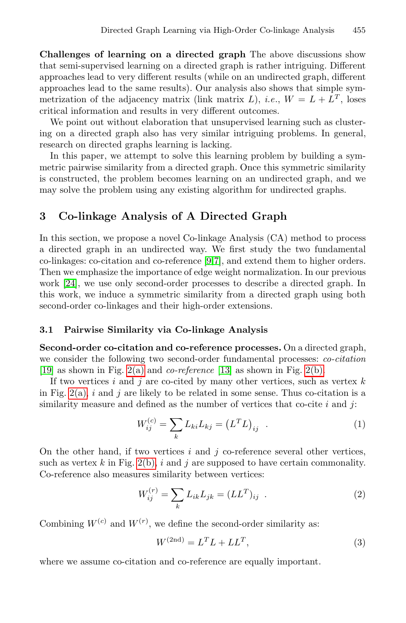**Challenges of learning on a directed graph** The above discussions show that semi-supervised learning on a directed graph is rather intriguing. Different approaches lead to very different results (while on an undirected graph, different approaches lead to the same results). Our analysis also shows that simple symmetrization of the adjacency matrix (link matrix L), *i.e.*,  $W = L + L^T$ , loses critical information and results in very different outcomes.

We point out without elaboration that unsupervised learning such as clustering on a directed graph also has very similar intriguing problems. In general, research on directed graphs learning is lacking.

In this paper, we attempt to solve this learning problem by building a symmetric pairwise similarity from a directed graph. Once this symmetric similarity is constructed, the p[ro](#page-14-6)[ble](#page-14-7)m becomes learning on an undirected graph, and we may solve the problem using any existing algorithm for undirected graphs.

# **3 Co-linkage Analysis of A Directed Graph**

In this section, we propose a novel Co-linkage Analysis (CA) method to process a directed graph in an undirected way. We first study the two fundamental co-linkages: co-citation and co-reference [9,7], and extend them to higher orders. Then we emphasize the importance of edge weight normalization. In our previous w[ork \[2](#page-5-0)4], we use only s[eco](#page-15-11)nd-order processe[s to d](#page-5-1)escribe a directed graph. In this work, we induce a symmetric similarity from a directed graph using both second-order co-linkages and their high-order extensions.

## **3.1 Pairwise Similarity via Co-linkage Analysis**

**Second-order co-citation and co-reference processes.** On a directed graph, we consider the following two second-order fundamental processes: *co-citation* [19] as shown in Fig. 2(a) and *co-reference* [13] as shown in Fig. 2(b).

If [two](#page-5-1) vertices  $i$  and  $j$  are co-cited by many other vertices, such as vertex  $k$ in Fig. 2(a), i and j are likely to be related in some sense. Thus co-citation is a similarity measure and defined as the number of vertices that co-cite  $i$  and  $j$ :

<span id="page-4-0"></span>
$$
W_{ij}^{(c)} = \sum_{k} L_{ki} L_{kj} = (L^{T} L)_{ij} .
$$
 (1)

On the other hand, if two vertices  $i$  and  $j$  co-reference several other vertices, such as vertex k in Fig. 2(b), i and j are supposed to have certain commonality. Co-reference also measures similarity between vertices:

$$
W_{ij}^{(r)} = \sum_{k} L_{ik} L_{jk} = (LL^T)_{ij} .
$$
 (2)

Combining  $W^{(c)}$  and  $W^{(r)}$ , we define the second-order similarity as:

$$
W^{(2nd)} = L^T L + L L^T,\tag{3}
$$

where we assume co-citation and co-reference are equally important.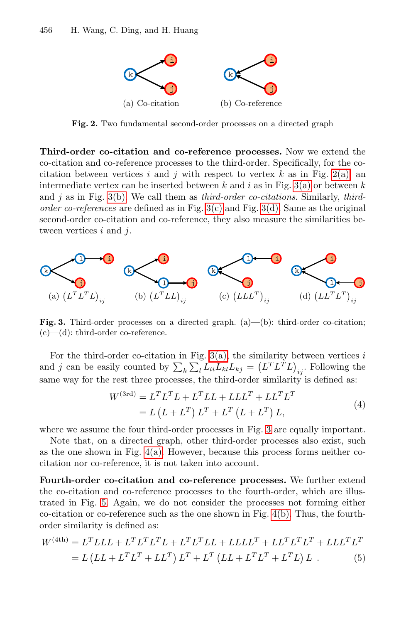<span id="page-5-1"></span><span id="page-5-0"></span>

<span id="page-5-4"></span><span id="page-5-3"></span>**Fig. 2.** Two fu[ndam](#page-5-3)ental sec[ond-o](#page-5-4)rder processes on a directed graph

<span id="page-5-2"></span>**Third-order co-citation and co-reference processes.** Now we extend the co-citation and co-reference processes to the third-order. Specifically, for the cocitation between vertices i and j with respect to vertex k as in Fig. 2(a), an intermediate vertex can be inserted between k and i as in Fig.  $3(a)$  or between k and *j* as in Fig. 3(b). We call them as *third-order co-citations*. Similarly, *thirdorder co-references* are defined as in Fig. 3(c) and Fig. 3(d). Same as the original second-order co-citation and co-reference, they also measure the similarities between vertices  $i$  and  $j$ .



Fig. 3. Third-order processes on a directed graph. (a)–(b): third-order co-citation;  $(c)$ —(d): third-order co-reference.

For the third-order co-citation in Fig. 3(a), the similarity between vertices  $i$ and j [can b](#page-6-0)e easily counted by  $\sum_k \sum_l L_{li} L_{kl} L_{kj} = (L^T L^T L)_{ii}$ . Following the same way for the rest three processes, the third-order similarity is defined as:

<span id="page-5-6"></span><span id="page-5-5"></span>
$$
W^{(3rd)} = LT LT L + LT L L + L L LT + L LT LT
$$
  
= L (L + L<sup>T</sup>) L<sup>T</sup> + L<sup>T</sup> (L + L<sup>T</sup>) L, (4)

where we assume the four third-orde[r proc](#page-6-1)esses in Fig. 3 are equally important.

Note that, on a directed graph, other third-order processes also exist, such as the one shown in Fig.  $4(a)$ . However, because this process forms neither cocitation nor co-reference, it is not taken into account.

**Fourth-order co-citation and co-reference processes.** We further extend the co-citation and co-reference processes to the fourth-order, which are illustrated in Fig. 5. Again, we do not consider the processes not forming either co-citation or co-reference such as the one shown in Fig. 4(b). Thus, the fourthorder similarity is defined as:

$$
W^{(4th)} = LT L L L + LT LT L + LT LT L L + L L L LT + L LT LT + L L LT LT
$$
  
= L (LL + L<sup>T</sup> L<sup>T</sup> + LL<sup>T</sup>) L<sup>T</sup> + L<sup>T</sup> (LL + L<sup>T</sup> L<sup>T</sup> + L<sup>T</sup> L) L . (5)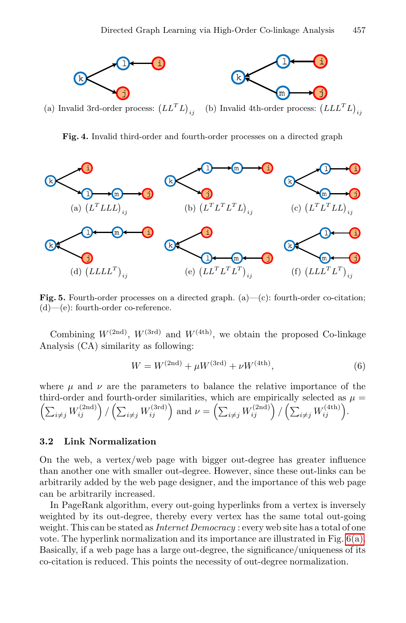<span id="page-6-1"></span><span id="page-6-0"></span>

(a) Invalid 3rd-order process:  $(LL^TL)$ *ij* (b) Invalid 4th-order process:  $(LLL^TL)_{ij}$ 

**Fig. 4.** Invalid third-order and fourth-order processes on a directed graph



Fig. 5. Fourth-order processes on a directed graph. (a)—(c): fourth-order co-citation;  $(d)$ — $(e)$ : fourth-order co-reference.

Combining  $W^{(2nd)}$ ,  $W^{(3rd)}$  and  $W^{(4th)}$ , we obtain the proposed Co-linkage Analysis (CA) similarity as following:

$$
W = W^{(\text{2nd})} + \mu W^{(\text{3rd})} + \nu W^{(\text{4th})},\tag{6}
$$

where  $\mu$  and  $\nu$  are the parameters to balance the relative importance of the  $\sqrt{ }$ third-order and fourth-order similarities, which are empirically selected as  $\mu =$  $\sum_{i \neq j} W_{ij}^{(2nd)} \Big) / \left( \sum_{i \neq j} W_{ij}^{(3rd)} \right)$  and  $\nu = \left( \sum_{i \neq j} W_{ij}^{(2nd)} \right) / \left( \sum_{i \neq j} W_{ij}^{(4th)} \right)$ .

## **3.2 Link Normalization**

On the web, a vertex/web page with bigger out-degr[ee](#page-7-0) [ha](#page-7-0)s greater influence than another one with smaller out-degree. However, since these out-links can be arbitrarily added by the web page designer, and the importance of this web page can be arbitrarily increased.

In PageRank algorithm, every out-going hyperlinks from a vertex is inversely weighted by its out-degree, thereby every vertex has the same total out-going weight. This can be stated as*Internet Democracy* : every web site has a total of one vote. The hyperlink normalization and its importance are illustrated in Fig. 6(a). Basically, if a web page has a large out-degree, the significance/uniqueness of its co-citation is reduced. This points the necessity of out-degree normalization.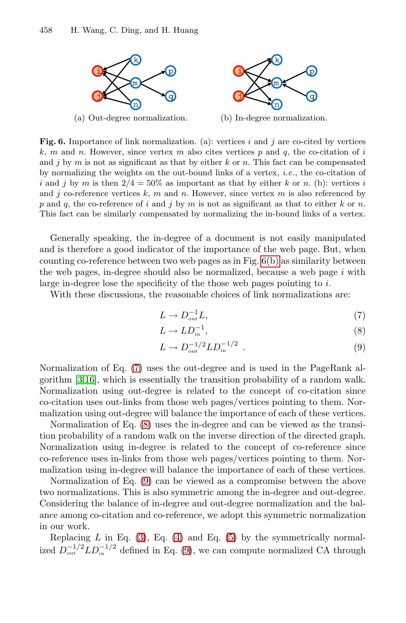<span id="page-7-1"></span><span id="page-7-0"></span>

**Fig. 6.** Importance of link normalization. (a): vertices *<sup>i</sup>* and *<sup>j</sup>* are co-cited by vertices *k*, *m* and *n*. However, since vertex *m* also cites vertices *p* and *q*, the co-citation of *i* and *j* by *m* is not as significant as that by either *k* or *n*. This fact can be compensated by normalizing the weights on the ou[t-bou](#page-7-1)nd links of a vertex, *i.e*., the co-citation of *i* and *j* by *m* is then  $2/4 = 50\%$  as important as that by either *k* or *n*. (b): vertices *i* and *j* co-reference vertices *k*, *m* and *n*. However, since vertex *m* is also referenced by *p* and *q*, the co-reference of *i* and *j* by *m* is not as significant as that to either *k* or *n*. This fact can be similarly compensated by normalizing the in-bound links of a vertex.

Generally speaking, the in-degree of a document is not easily manipulated and is therefore a good indicator of the importance of the web page. But, when counting co-reference between two web pages as in Fig.  $6(b)$  as similarity between the web pages, in-degree should also be normalized, because a web page  $i$  with lar[ge](#page-7-2) in-degree lose the specificity of the those web pages pointing to  $i$ .

With these discussions, the reasonable choices of link normalizations are:

<span id="page-7-3"></span><span id="page-7-2"></span>
$$
L \to D_{\rm out}^{-1}L,\tag{7}
$$

$$
L \to LD_{\rm in}^{-1},\tag{8}
$$

$$
L \to D_{\rm out}^{-1/2} L D_{\rm in}^{-1/2} \tag{9}
$$

Normalization of Eq. (7) uses the out-degree and is used in the PageRank algorithm [3,16], which is essentially the transition probability of a random walk. Norm[ali](#page-7-3)zation using out-degree is related to the concept of co-citation since co-citation uses out-links from those web pages/vertices pointing to them. Normalization using out-degree will balance the importance of each of these vertices.

Normalization of Eq. (8) uses the in-degree and can be viewed as the transition probability of a random walk on the inverse direction of the directed graph. Nor[ma](#page-4-0)lizatio[n u](#page-5-5)sing in-de[gr](#page-5-6)ee is related to the concept of co-reference since co-reference use[s i](#page-7-3)n-links from those web pages/vertices pointing to them. Normalization using in-degree will balance the importance of each of these vertices.

Normalization of Eq. (9) can be viewed as a compromise between the above two normalizations. This is also symmetric among the in-degree and out-degree. Considering the balance of in-degree and out-degree normalization and the balance among co-citation and co-reference, we adopt this symmetric normalization in our work.

Replacing  $L$  in Eq. (3), Eq. (4) and Eq. (5) by the symmetrically normalized  $D_{\text{out}}^{-1/2} L D_{\text{in}}^{-1/2}$  defined in Eq. (9), we can compute normalized CA through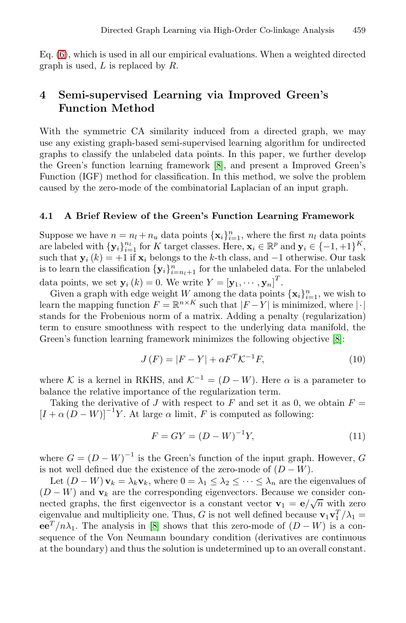Eq. (6), which is used in all our empirical evaluations. When a weighted directed graph is used,  $L$  is replaced by  $R$ .

# **4 Semi-supervised Learning via Improved Green's Function Method**

With the symmetric CA similarity induced from a directed graph, we may use any existing graph-based semi-supervised learning algorithm for undirected graphs to classify the unlabeled data points. In this paper, we further develop the Green's function learning framework [8], and present a Improved Green's Function (IGF) method for classification. In this method, we solve the problem caused by the zero-mode of the combinatorial Laplacian of an input graph.

#### **4.1 A Brief Review of the Green's Function Learning Framework**

Suppose we have  $n = n_l + n_u$  data points  $\{\mathbf{x}_i\}_{i=1}^n$ , where the first  $n_l$  data points are labeled with  ${\bf \{y}_i\}_{i=1}^{n_l}$  for K target classes. Here,  ${\bf x}_i \in \mathbb{R}^p$  and  ${\bf y}_i \in \{-1, +1\}^K$ , such that  $\mathbf{y}_i(k) = +1$  if  $\mathbf{x}_i$  belongs to the k-th class, [an](#page-14-3)d  $-1$  otherwise. Our task is to learn the classification  ${\bf y}_i\}_{i=n_l+1}^n$  for the unlabeled data. For the unlabeled data points, we set  $\mathbf{y}_i(k) = 0$ . We write  $Y = [\mathbf{y}_1, \cdots, \mathbf{y}_n]^T$ .

Given a graph with edge weight W among the data points  $\{x_i\}_{i=1}^n$ , we wish to learn the mapping function  $F = \mathbb{R}^{n \times K}$  such that  $|F - Y|$  is minimized, where  $|\cdot|$ stands for the Frobenious norm of a matrix. Adding a penalty (regularization) term to ensure smoothness with respect to the underlying data manifold, the Green's function learning framework minimizes the following objective [8]:

$$
J(F) = |F - Y| + \alpha F^T \mathcal{K}^{-1} F,\tag{10}
$$

where K is a kernel in RKHS, and  $\mathcal{K}^{-1} = (D - W)$ . Here  $\alpha$  is a parameter to balance the relative importance of the regularization term.

Taking the derivative of J with respect to F and set it as 0, we obtain  $F =$  $[I + \alpha (D - W)]^{-1}Y$ . At large  $\alpha$  limit, F is computed as following:

$$
F = GY = (D - W)^{-1}Y,
$$
\n(11)

where  $G = (D - W)^{-1}$  is the Green's function of the input graph. However, G is not well defined due the existence of the zero-mode of  $(D - W)$ .

Let  $(D - W)$   $\mathbf{v}_k = \lambda_k \mathbf{v}_k$ , where  $0 = \lambda_1 \leq \lambda_2 \leq \cdots \leq \lambda_n$  are the eigenvalues of  $(D - W)$  and  $\mathbf{v}_k$  are the corresponding eigenvectors. Because we consider con- $(D - W)$  and  $V_k$  are the corresponding eigenvectors. Because we consider con-<br>nected graphs, the first eigenvector is a constant vector  $\mathbf{v}_1 = \mathbf{e}/\sqrt{n}$  with zero eigenvalue and multiplicity one. Thus, G is not well defined because  $\mathbf{v}_1 \mathbf{v}_1^T / \lambda_1 =$  $ee^{T}/n\lambda_1$ . The analysis in [8] shows that this zero-mode of  $(D - W)$  is a consequence of the Von Neumann boundary condition (derivatives are continuous at the boundary) and thus the solution is undetermined up to an overall constant.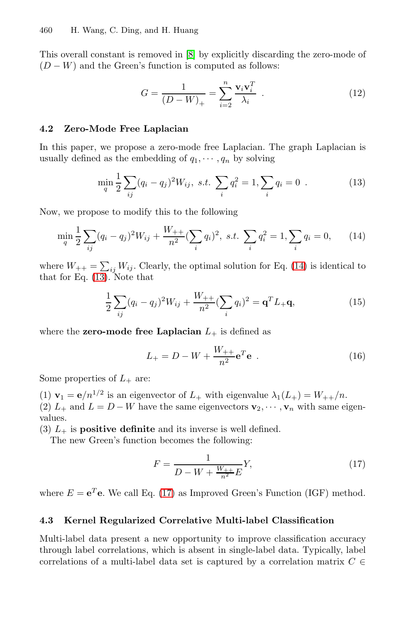This overall constant is removed in [8] by explicitly discarding the zero-mode of  $(D - W)$  and the Green's function is computed as follows:

<span id="page-9-0"></span>
$$
G = \frac{1}{(D - W)_{+}} = \sum_{i=2}^{n} \frac{\mathbf{v}_{i} \mathbf{v}_{i}^{T}}{\lambda_{i}} .
$$
 (12)

#### **4.2 Zero-Mode Free Laplacian**

In this paper, we propose a zero-mode free Laplacian. The graph Laplacian is usually defined as the embedding of  $q_1, \dots, q_n$  by solving

$$
\min_{q} \frac{1}{2} \sum_{ij} (q_i - q_j)^2 W_{ij}, \ s.t. \ \sum_{i} q_i^2 = 1, \sum_{i} q_i = 0 \ . \tag{13}
$$

Now, we propose to modify this to the following

$$
\min_{q} \frac{1}{2} \sum_{ij} (q_i - q_j)^2 W_{ij} + \frac{W_{++}}{n^2} (\sum_i q_i)^2, \ s.t. \ \sum_i q_i^2 = 1, \sum_i q_i = 0, \qquad (14)
$$

where  $W_{++} = \sum_{ij} W_{ij}$ . Clearly, the optimal solution for Eq. (14) is identical to that for Eq. (13). Note that

$$
\frac{1}{2}\sum_{ij}(q_i - q_j)^2 W_{ij} + \frac{W_{++}}{n^2} (\sum_i q_i)^2 = \mathbf{q}^T L_+ \mathbf{q},\tag{15}
$$

where the **zero-mode free Laplacian**  $L_{+}$  is defined as

<span id="page-9-1"></span>
$$
L_{+} = D - W + \frac{W_{++}}{n^2} e^{T} e . \qquad (16)
$$

Some properties of  $L_+$  are:

(1)  $\mathbf{v}_1 = \mathbf{e}/n^{1/2}$  is an eigenvector of  $L_+$  with eigenvalue  $\lambda_1(L_+) = W_{++}/n$ .

(2)  $L_+$  $L_+$  and  $L = D - W$  have the same eigenvectors  $\mathbf{v}_2, \dots, \mathbf{v}_n$  with same eigenvalues.

(3)  $L_{+}$  is **positive definite** and its inverse is well defined.

The new Green's function becomes the following:

$$
F = \frac{1}{D - W + \frac{W_{++}}{n^2}E}Y,
$$
\n(17)

where  $E = e^T e$ . We call Eq. (17) as Improved Green's Function (IGF) method.

# **4.3 Kernel Regularized Correlative Multi-label Classification**

Multi-label data present a new opportunity to improve classification accuracy through label correlations, which is absent in single-label data. Typically, label correlations of a multi-label data set is captured by a correlation matrix  $C \in$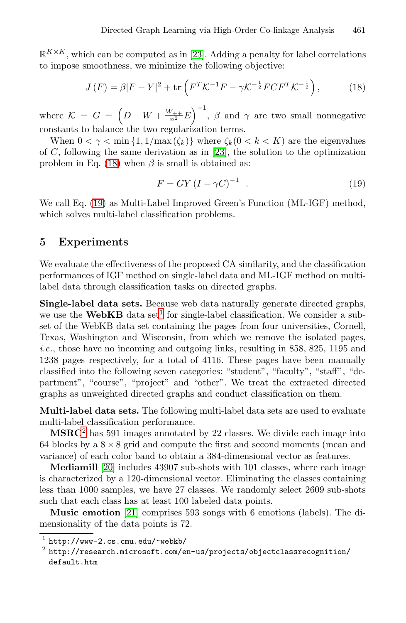$\mathbb{R}^{K \times K}$ , which can be computed as in [23]. Adding a penalty for label correlations to impose smoothness, [we](#page-15-6) minimize the following objective:

$$
J(F) = \beta |F - Y|^2 + \mathbf{tr}\left(F^T \mathcal{K}^{-1} F - \gamma \mathcal{K}^{-\frac{1}{2}} F C F^T \mathcal{K}^{-\frac{1}{2}}\right),\tag{18}
$$

where  $\mathcal{K} = G = \left(D - W + \frac{W_{++}}{n^2} E\right)^{-1}$ ,  $\beta$  and  $\gamma$  are two small nonnegative constants to balance the two regularization terms.

When  $0 < \gamma < \min\{1, 1/\max(\zeta_k)\}\$  where  $\zeta_k(0 < k < K)$  are the eigenvalues of C, following the same derivation as in [23], the solution to the optimization problem in Eq. (18) when  $\beta$  is small is obtained as:

$$
F = GY \left( I - \gamma C \right)^{-1} \tag{19}
$$

We call Eq. (19) as Multi-Label Improved Green's Function (ML-IGF) method, which solves multi-label classification problems.

# **5 Experiments**

We evaluate the effectiveness of the proposed CA similarity, and the classification performances of IGF method on single-label data and ML-IGF method on multilabel data through classification tasks on directed graphs.

**Single-label data sets.** Because web data naturally generate directed graphs, we use the **WebKB** data set<sup>1</sup> for single-label classification. We consider a subset of the WebKB data set containing the pages from four universities, Cornell, Texas, Washington and Wisconsin, from which we remove the isolated pages, *i.e*., those have no incoming and outgoing links, resulting in 858, 825, 1195 and 1238 pages respectively, for a total of 4116. These pages have been manually classified into the following seven categories: "student", "faculty", "staff", "department", "course", "project" and "other". We treat the extracted directed graphs as unweighted directed graphs and conduct classification on them.

**Multi-label data sets.** The following multi-label data sets are used to evaluate m[ulti](#page-15-12)-label classification performance.

**MSRC**<sup>2</sup> has 591 images annotated by 22 classes. We divide each image into 64 blocks by a  $8 \times 8$  grid and compute the first and second moments (mean and [variance\) of each](http://www-2.cs.cmu.edu/~webkb/) color band to obtain a 384-dimensional vector as features.

**Mediamill** [\[20\] includes 43907 sub-shots with 101 clas](http://research.microsoft.com/en-us/projects/objectclassrecognition/default.htm)ses, where each image is characterized by a 120-dimensional vector. Eliminating the classes containing less than 1000 samples, we have 27 classes. We randomly select 2609 sub-shots such that each class has at least 100 labeled data points.

**Music emotion** [21] comprises 593 songs with 6 emotions (labels). The dimensionality of the data points is 72.

http://www-2.cs.cmu.edu/~webkb/<br>http://research.microsoft.com/en-us/projects/objectclassrecognition/ default.htm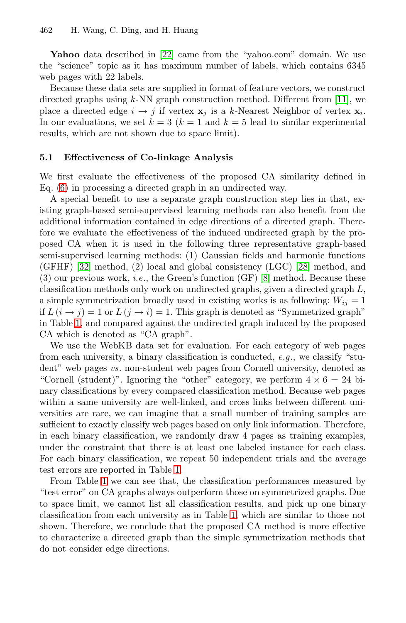Yahoo data described in [22] came from the "yahoo.com" domain. We use the "science" topic as it has maximum number of labels, which contains 6345 web pages with 22 labels.

Because these data sets are supplied in format of feature vectors, we construct directed graphs using k-NN graph construction method. Different from [11], we place a directed edge  $i \rightarrow j$  if vertex  $\mathbf{x}_i$  is a k-Nearest Neighbor of vertex  $\mathbf{x}_i$ . In our evaluations, we set  $k = 3$  ( $k = 1$  and  $k = 5$  lead to similar experimental results, which are not shown due to space limit).

## **5.1 Effectiveness of Co-linkage Analysis**

We first evaluate the effectiveness of the [pro](#page-15-8)posed CA similarity defined in Eq. (6) in processing a directed gr[aph](#page-14-3) in an undirected way.

A special benefit to use a separate graph construction step lies in that, existing graph-based semi-supervised learning methods can also benefit from the additional information contained in edge directions of a directed graph. Therefore we evaluate the effectiveness of the induced undirected graph by the proposed CA when it is used in the following three representative graph-based semi-supervised learning methods: (1) Gaussian fields and harmonic functions (GFHF) [32] method, (2) local and global consistency (LGC) [28] method, and (3) our previous work, *i.e*., the Green's function (GF) [8] method. Because these classification methods only work on undirected graphs, given a directed graph L, a simple symmetrization broadly used in existing works is as following:  $W_{ij} = 1$ if  $L(i \rightarrow i) = 1$  or  $L(i \rightarrow i) = 1$ . This graph is denoted as "Symmetrized graph" in Table 1, and compared against the undirected graph induced by the proposed CA which is denoted as "CA graph".

We use the WebKB data set for evaluation. For each category of web pages from each university, a binary classification is conducted, *e.g*., we classify "student" web pages *vs*. non-student web pages from Cornell university, denoted as "Cornell (stu[de](#page-12-0)nt)". Ignoring the "other" category, we perform  $4 \times 6 = 24$  binary classifications by every compared classification method. Because web pages within a same university are well-linked, and cross links between different universities are rare, we can imagine that a small number of training samples are sufficient to exactly classify [we](#page-12-0)b pages based on only link information. Therefore, in each binary classification, we randomly draw 4 pages as training examples, under the constraint that there is at least one labeled instance for each class. For each binary classification, we repeat 50 independent trials and the average test errors are reported in Table 1.

From Table 1 we can see that, the classification performances measured by "test error" on CA graphs always outperform those on symmetrized graphs. Due to space limit, we cannot list all classification results, and pick up one binary classification from each university as in Table 1, which are similar to those not shown. Therefore, we conclude that the proposed CA method is more effective to characterize a directed graph than the simple symmetrization methods that do not consider edge directions.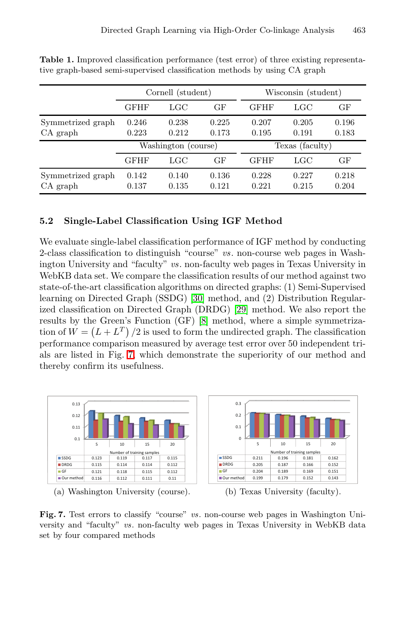|                               |                     | Cornell (student) |                | Wisconsin (student) |                |                |  |
|-------------------------------|---------------------|-------------------|----------------|---------------------|----------------|----------------|--|
|                               | GFHF                | LGC               | GF             | GFHF                | LGC            | GF             |  |
| Symmetrized graph<br>CA graph | 0.246<br>0.223      | 0.238<br>0.212    | 0.225<br>0.173 | 0.207<br>0.195      | 0.205<br>0.191 | 0.196<br>0.183 |  |
|                               | Washington (course) |                   |                | Texas (faculty)     |                |                |  |
|                               | GFHF                | LGC               | GF             | GFHF                | LGC            | GF             |  |
| Symmetrized graph<br>CA graph | 0.142<br>0.137      | 0.140<br>0.135    | 0.136<br>0.121 | 0.228<br>0.221      | 0.227<br>0.215 | 0.218<br>0.204 |  |

<span id="page-12-0"></span>**Table 1.** Improved classification performance (test error) of three existing representative graph-based semi-supervised classification methods by using CA graph

# **5.2 Single-Label Classi[ficat](#page-15-9)ion Using IGF Method**

We evaluate single-l[ab](#page-14-3)el classification performance of IGF method by conducting 2-class classification to distinguish "course" *vs*. non-course web pages in Washin[gto](#page-12-1)n University and "faculty" *vs*. non-faculty web pages in Texas University in WebKB data set. We compare the classification results of our method against two state-of-the-art classification algorithms on directed graphs: (1) Semi-Supervised learning on Directed Graph (SSDG) [30] method, and (2) Distribution Regularized classification on Directed Graph (DRDG) [29] method. We also report the results by the Green's Function (GF) [8] method, where a simple symmetrization of  $\hat{W} = (L + L^T)/2$  is used to form the undirected graph. The classification performance comparison measured by average test error over 50 independent trials are listed in Fig. 7, which demonstrate the superiority of our method and thereby confirm its usefulness.

<span id="page-12-1"></span>

(a) Washington University (course).



(b) Texas University (faculty).

**Fig. 7.** Test errors to classify "course" *vs*. non-course web pages in Washington University and "faculty" *vs*. non-faculty web pages in Texas University in WebKB data set by four compared methods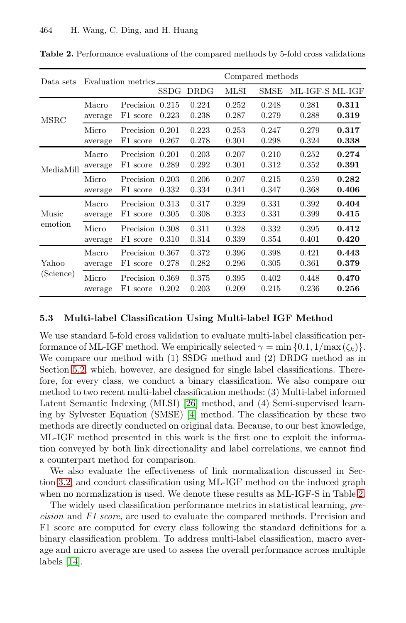| Data sets          | Evaluation metrics |                             | Compared methods |                |                |                |                 |                |
|--------------------|--------------------|-----------------------------|------------------|----------------|----------------|----------------|-----------------|----------------|
|                    |                    |                             | <b>SSDG</b>      | DRDG           | MLSI           | SMSE           | ML-IGF-S ML-IGF |                |
| MSRC               | Macro<br>average   | Precision 0.215<br>F1 score | 0.223            | 0.224<br>0.238 | 0.252<br>0.287 | 0.248<br>0.279 | 0.281<br>0.288  | 0.311<br>0.319 |
|                    | Micro<br>average   | Precision 0.201<br>F1 score | 0.267            | 0.223<br>0.278 | 0.253<br>0.301 | 0.247<br>0.298 | 0.279<br>0.324  | 0.317<br>0.338 |
| MediaMill          | Macro<br>average   | Precision 0.201<br>F1 score | 0.289            | 0.203<br>0.292 | 0.207<br>0.301 | 0.210<br>0.312 | 0.252<br>0.352  | 0.274<br>0.391 |
|                    | Micro<br>average   | Precision 0.203<br>F1 score | 0.332            | 0.206<br>0.334 | 0.207<br>0.341 | 0.215<br>0.347 | 0.259<br>0.368  | 0.282<br>0.406 |
| Music<br>emotion   | Macro<br>average   | Precision 0.313<br>F1 score | 0.305            | 0.317<br>0.308 | 0.329<br>0.323 | 0.331<br>0.331 | 0.392<br>0.399  | 0.404<br>0.415 |
|                    | Micro<br>average   | Precision 0.308<br>F1 score | 0.310            | 0.311<br>0.314 | 0.328<br>0.339 | 0.332<br>0.354 | 0.395<br>0.401  | 0.412<br>0.420 |
| Yahoo<br>(Science) | Macro<br>average   | Precision 0.367<br>F1 score | 0.278            | 0.372<br>0.282 | 0.396<br>0.296 | 0.398<br>0.305 | 0.421<br>0.361  | 0.443<br>0.379 |
|                    | Micro<br>average   | Precision 0.369<br>F1 score | 0.202            | 0.375<br>0.203 | 0.395<br>0.209 | 0.402<br>0.215 | 0.448<br>0.236  | 0.470<br>0.256 |

<span id="page-13-0"></span>**Table 2.** Performance evaluations of the compared methods by 5-fold cross validations

#### **5.3 Multi-la[bel](#page-15-13) Classification Using Multi-label IGF Method**

We use standard 5-fold cross validation to evaluate multi-label classification performance of ML-IGF method. We empirically selected  $\gamma = \min\{0.1, 1/\max(\zeta_k)\}.$ We compare our method with (1) SSDG method and (2) DRDG method as in Section 5.2, which, however, are designed for single label classifications. Therefore, for every class, we conduct a binary classification. We also compare our method to two recent multi-label classification methods: (3) Multi-label informed Latent Semantic Indexing (MLSI) [26] method, and (4) S[em](#page-13-0)i-supervised learning by Sylvester Equation (SMSE) [4] method. The classification by these two methods are directly conducted on original data. Because, to our best knowledge, ML-IGF method presented in this work is the first one to exploit the information conveyed by both link directionality and label correlations, we cannot find a counterpart method for comparison.

We also evaluate the effectiveness of link normalization discussed in Section 3.2, and conduct classification using ML-IGF method on the induced graph when no normalization is used. We denote these results as ML-IGF-S in Table 2.

The widely used classification performance metrics in statistical learning, *precision* and *F1 score*, are used to evaluate the compared methods. Precision and F1 score are computed for every class following the standard definitions for a binary classification problem. To address multi-label classification, macro average and micro average are used to assess the overall performance across multiple labels [14].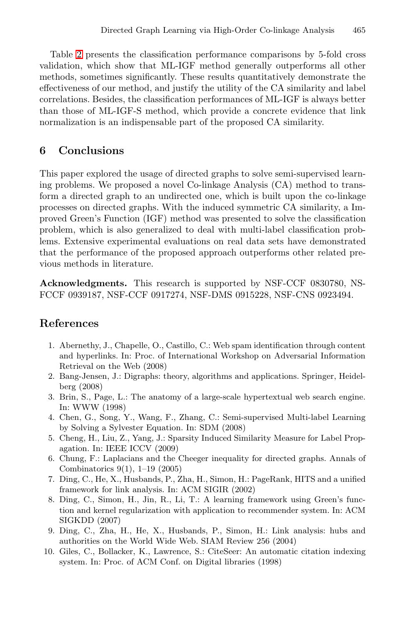Table 2 presents the classification performance comparisons by 5-fold cross validation, which show that ML-IGF method generally outperforms all other methods, sometimes significantly. These results quantitatively demonstrate the effectiveness of our method, and justify the utility of the CA similarity and label correlations. Besides, the classification performances of ML-IGF is always better than those of ML-IGF-S method, which provide a concrete evidence that link normalization is an indispensable part of the proposed CA similarity.

# **6 Conclusions**

This paper explored the usage of directed graphs to solve semi-supervised learning problems. We proposed a novel Co-linkage Analysis (CA) method to transform a directed graph to an undirected one, which is built upon the co-linkage processes on directed graphs. With the induced symmetric CA similarity, a Improved Green's Function (IGF) method was presented to solve the classification problem, which is also generalized to deal with multi-label classification problems. Extensive experimental evaluations on real data sets have demonstrated that the performance of the proposed approach outperforms other related previous methods in literature.

<span id="page-14-5"></span><span id="page-14-0"></span>**Acknowledgments.** This research is supported by NSF-CCF 0830780, NS-FCCF 0939187, NSF-CCF 0917274, NSF-DMS 0915228, NSF-CNS 0923494.

# <span id="page-14-2"></span>**References**

- 1. Abernethy, J., Chapelle, O., Castillo, C.: Web spam identification through content and hyperlinks. In: Proc. of International Workshop on Adversarial Information Retrieval on the Web (2008)
- <span id="page-14-7"></span><span id="page-14-4"></span>2. Bang-Jensen, J.: Digraphs: theory, algorithms and applications. Springer, Heidelberg (2008)
- <span id="page-14-3"></span>3. Brin, S., Page, L.: The anatomy of a large-scale hypertextual web search engine. In: WWW (1998)
- 4. Chen, G., Song, Y., Wang, F., Zhang, C.: Semi-supervised Multi-label Learning by Solving a Sylvester Equation. In: SDM (2008)
- <span id="page-14-6"></span>5. Cheng, H., Liu, Z., Yang, J.: Sparsity Induced Similarity Measure for Label Propagation. In: IEEE ICCV (2009)
- <span id="page-14-1"></span>6. Chung, F.: Laplacians and the Cheeger inequality for directed graphs. Annals of Combinatorics 9(1), 1–19 (2005)
- 7. Ding, C., He, X., Husbands, P., Zha, H., Simon, H.: PageRank, HITS and a unified framework for link analysis. In: ACM SIGIR (2002)
- 8. Ding, C., Simon, H., Jin, R., Li, T.: A learning framework using Green's function and kernel regularization with application to recommender system. In: ACM SIGKDD (2007)
- 9. Ding, C., Zha, H., He, X., Husbands, P., Simon, H.: Link analysis: hubs and authorities on the World Wide Web. SIAM Review 256 (2004)
- 10. Giles, C., Bollacker, K., Lawrence, S.: CiteSeer: An automatic citation indexing system. In: Proc. of ACM Conf. on Digital libraries (1998)